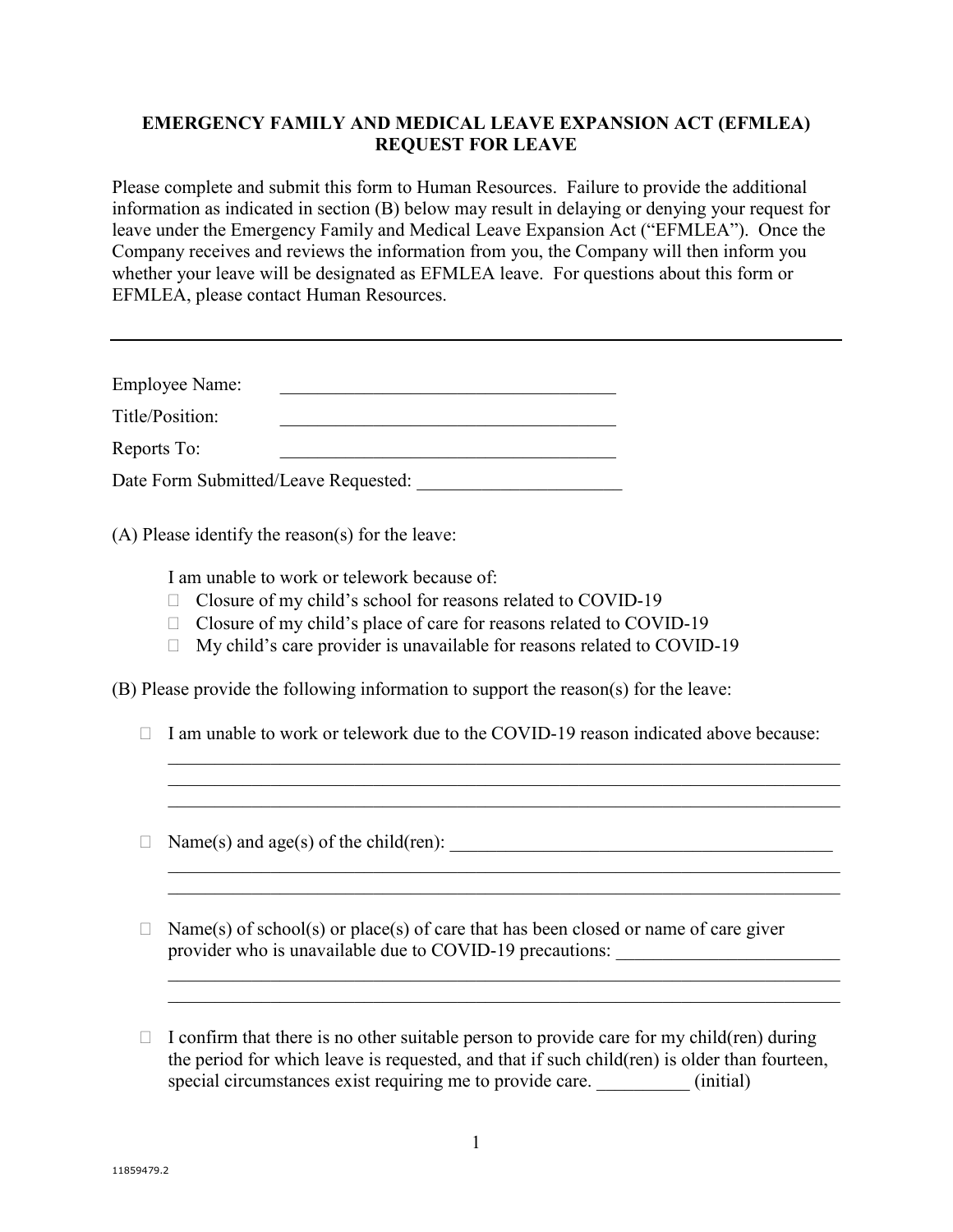## **EMERGENCY FAMILY AND MEDICAL LEAVE EXPANSION ACT (EFMLEA) REQUEST FOR LEAVE**

Please complete and submit this form to Human Resources. Failure to provide the additional information as indicated in section (B) below may result in delaying or denying your request for leave under the Emergency Family and Medical Leave Expansion Act ("EFMLEA"). Once the Company receives and reviews the information from you, the Company will then inform you whether your leave will be designated as EFMLEA leave. For questions about this form or EFMLEA, please contact Human Resources.

| <b>Employee Name:</b> |                                      |  |
|-----------------------|--------------------------------------|--|
| Title/Position:       |                                      |  |
| Reports To:           |                                      |  |
|                       | Date Form Submitted/Leave Requested: |  |

(A) Please identify the reason(s) for the leave:

I am unable to work or telework because of:

- □ Closure of my child's school for reasons related to COVID-19
- $\Box$  Closure of my child's place of care for reasons related to COVID-19
- $\Box$  My child's care provider is unavailable for reasons related to COVID-19

(B) Please provide the following information to support the reason(s) for the leave:

 $\Box$  I am unable to work or telework due to the COVID-19 reason indicated above because:

 $\mathcal{L}_\text{G}$  , and the contribution of the contribution of the contribution of the contribution of the contribution of the contribution of the contribution of the contribution of the contribution of the contribution of t

 $\mathcal{L}_\text{G}$  , and the contribution of the contribution of the contribution of the contribution of the contribution of the contribution of the contribution of the contribution of the contribution of the contribution of t

 $\mathcal{L}_\text{G}$  , and the contribution of the contribution of the contribution of the contribution of the contribution of the contribution of the contribution of the contribution of the contribution of the contribution of t

Name(s) and age(s) of the child(ren): \_\_\_\_\_\_\_\_\_\_\_\_\_\_\_\_\_\_\_\_\_\_\_\_\_\_\_\_\_\_\_\_\_\_\_\_\_\_\_\_\_

 $\Box$  Name(s) of school(s) or place(s) of care that has been closed or name of care giver provider who is unavailable due to COVID-19 precautions:

 $\Box$  I confirm that there is no other suitable person to provide care for my child(ren) during the period for which leave is requested, and that if such child(ren) is older than fourteen, special circumstances exist requiring me to provide care.  $\qquad \qquad \text{(initial)}$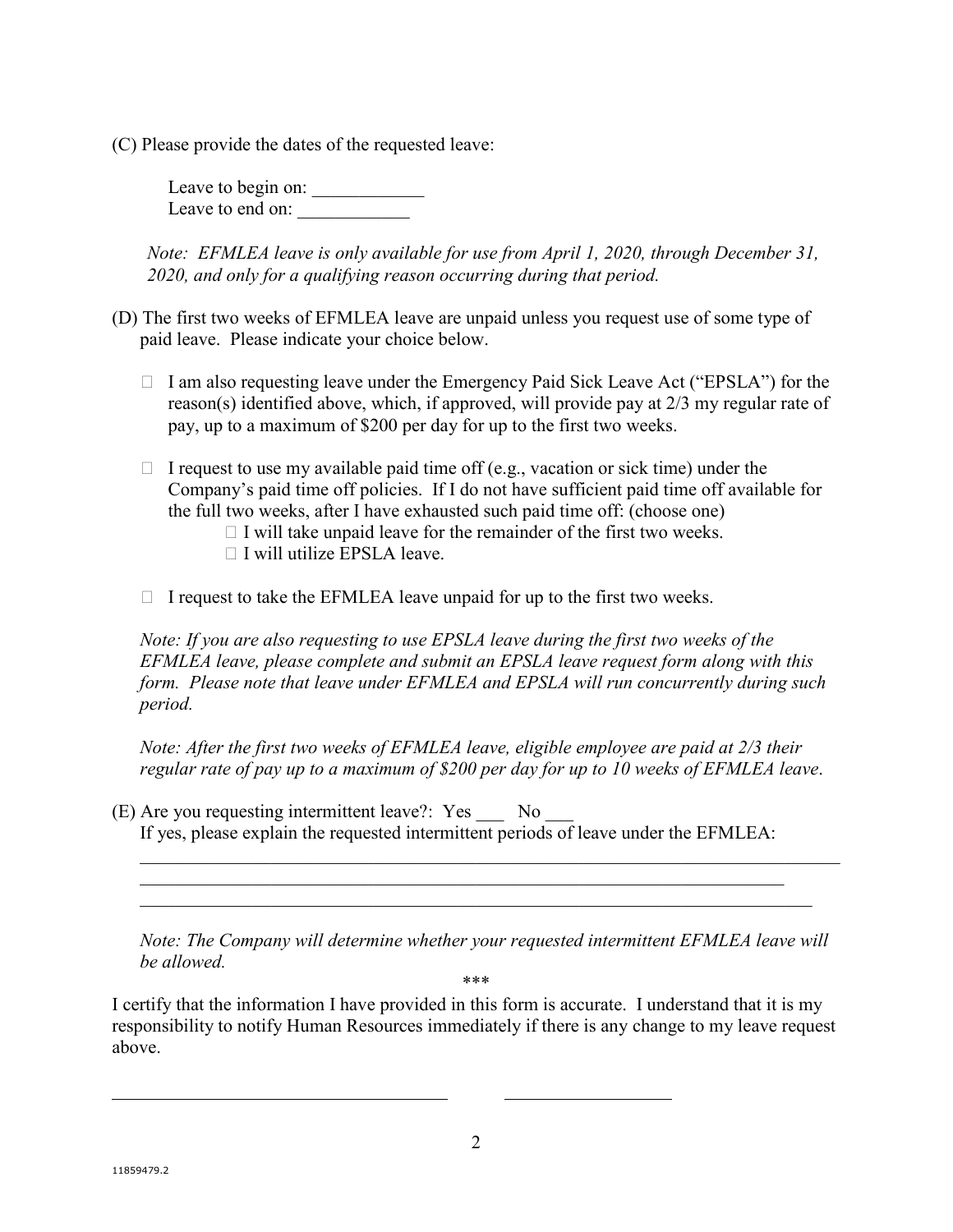(C) Please provide the dates of the requested leave:

Leave to begin on: Leave to end on:

*Note: EFMLEA leave is only available for use from April 1, 2020, through December 31, 2020, and only for a qualifying reason occurring during that period.*

- (D) The first two weeks of EFMLEA leave are unpaid unless you request use of some type of paid leave. Please indicate your choice below.
	- $\Box$  I am also requesting leave under the Emergency Paid Sick Leave Act ("EPSLA") for the reason(s) identified above, which, if approved, will provide pay at 2/3 my regular rate of pay, up to a maximum of \$200 per day for up to the first two weeks.
	- $\Box$  I request to use my available paid time off (e.g., vacation or sick time) under the Company's paid time off policies. If I do not have sufficient paid time off available for the full two weeks, after I have exhausted such paid time off: (choose one)
		- $\Box$  I will take unpaid leave for the remainder of the first two weeks.
		- $\Box$  I will utilize EPSLA leave.
	- $\Box$  I request to take the EFMLEA leave unpaid for up to the first two weeks.

*Note: If you are also requesting to use EPSLA leave during the first two weeks of the EFMLEA leave, please complete and submit an EPSLA leave request form along with this form. Please note that leave under EFMLEA and EPSLA will run concurrently during such period.*

*Note: After the first two weeks of EFMLEA leave, eligible employee are paid at 2/3 their regular rate of pay up to a maximum of \$200 per day for up to 10 weeks of EFMLEA leave*.

(E) Are you requesting intermittent leave?: Yes \_\_\_ No \_\_\_ If yes, please explain the requested intermittent periods of leave under the EFMLEA:

\_\_\_\_\_\_\_\_\_\_\_\_\_\_\_\_\_\_\_\_\_\_\_\_\_\_\_\_\_\_\_\_\_\_\_\_\_\_\_\_\_\_\_\_\_\_\_\_\_\_\_\_\_\_\_\_\_\_\_\_\_\_\_\_\_\_\_\_\_  $\mathcal{L}_\text{G}$  , and the contribution of the contribution of the contribution of the contribution of the contribution of the contribution of the contribution of the contribution of the contribution of the contribution of t

*Note: The Company will determine whether your requested intermittent EFMLEA leave will be allowed.*

\*\*\*

I certify that the information I have provided in this form is accurate. I understand that it is my responsibility to notify Human Resources immediately if there is any change to my leave request above.